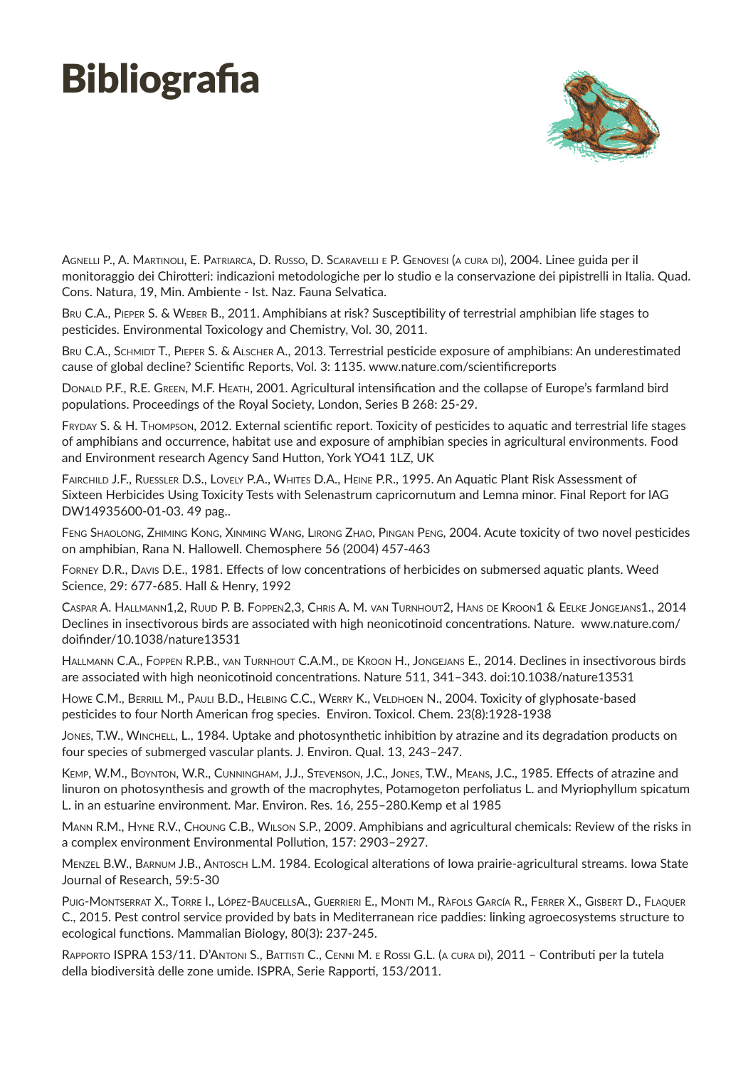## **Bibliografia**



AGNELLI P., A. MARTINOLI, E. PATRIARCA, D. RUSSO, D. SCARAVELLI E P. GENOVESI (A CURA DI), 2004. Linee guida per il monitoraggio dei Chirotteri: indicazioni metodologiche per lo studio e la conservazione dei pipistrelli in Italia. Quad. Cons. Natura, 19, Min. Ambiente - Ist. Naz. Fauna Selvatica.

BRU C.A., PIEPER S. & WEBER B., 2011. Amphibians at risk? Susceptibility of terrestrial amphibian life stages to pesticides. Environmental Toxicology and Chemistry, Vol. 30, 2011.

BRU C.A., SCHMIDT T., PIEPER S. & ALSCHER A., 2013. Terrestrial pesticide exposure of amphibians: An underestimated cause of global decline? Scientific Reports, Vol. 3: 1135. www.nature.com/scientificreports

Donald P.F., R.E. Green, M.F. Heath, 2001. Agricultural intensification and the collapse of Europe's farmland bird populations. Proceedings of the Royal Society, London, Series B 268: 25-29.

Fryday S. & H. Thompson, 2012. External scientific report. Toxicity of pesticides to aquatic and terrestrial life stages of amphibians and occurrence, habitat use and exposure of amphibian species in agricultural environments. Food and Environment research Agency Sand Hutton, York YO41 1LZ, UK

FAIRCHILD J.F., RUESSLER D.S., LOVELY P.A., WHITES D.A., HEINE P.R., 1995. An Aquatic Plant Risk Assessment of Sixteen Herbicides Using Toxicity Tests with Selenastrum capricornutum and Lemna minor. Final Report for lAG DW14935600-01-03. 49 pag..

Feng Shaolong, Zhiming Kong, Xinming Wang, Lirong Zhao, Pingan Peng, 2004. Acute toxicity of two novel pesticides on amphibian, Rana N. Hallowell. Chemosphere 56 (2004) 457-463

Forney D.R., Davis D.E., 1981. Effects of low concentrations of herbicides on submersed aquatic plants. Weed Science, 29: 677-685. Hall & Henry, 1992

Caspar A. Hallmann1,2, Ruud P. B. Foppen2,3, Chris A. M. van Turnhout2, Hans de Kroon1 & Eelke Jongejans1., 2014 Declines in insectivorous birds are associated with high neonicotinoid concentrations. Nature. www.nature.com/ doifinder/10.1038/nature13531

Hallmann C.A., Foppen R.P.B., van Turnhout C.A.M., de Kroon H., Jongejans E., 2014. Declines in insectivorous birds are associated with high neonicotinoid concentrations. Nature 511, 341–343. doi:10.1038/nature13531

Howe C.M., BERRILL M., PAULI B.D., HELBING C.C., WERRY K., VELDHOEN N., 2004. Toxicity of glyphosate-based pesticides to four North American frog species. Environ. Toxicol. Chem. 23(8):1928-1938

Jones, T.W., Winchell, L., 1984. Uptake and photosynthetic inhibition by atrazine and its degradation products on four species of submerged vascular plants. J. Environ. Qual. 13, 243–247.

Kemp, W.M., Boynton, W.R., Cunningham, J.J., Stevenson, J.C., Jones, T.W., Means, J.C., 1985. Effects of atrazine and linuron on photosynthesis and growth of the macrophytes, Potamogeton perfoliatus L. and Myriophyllum spicatum L. in an estuarine environment. Mar. Environ. Res. 16, 255–280.Kemp et al 1985

Mann R.M., Hyne R.V., Choung C.B., Wilson S.P., 2009. Amphibians and agricultural chemicals: Review of the risks in a complex environment Environmental Pollution, 157: 2903–2927.

Menzel B.W., Barnum J.B., Antosch L.M. 1984. Ecological alterations of Iowa prairie-agricultural streams. Iowa State Journal of Research, 59:5-30

Puig-Montserrat X., Torre I., López-BaucellsA., Guerrieri E., Monti M., Ràfols García R., Ferrer X., Gisbert D., Flaquer C., 2015. Pest control service provided by bats in Mediterranean rice paddies: linking agroecosystems structure to ecological functions. Mammalian Biology, 80(3): 237-245.

Rapporto ISPRA 153/11. D'Antoni S., Battisti C., Cenni M. e Rossi G.L. (a cura di), 2011 – Contributi per la tutela della biodiversità delle zone umide. ISPRA, Serie Rapporti, 153/2011.